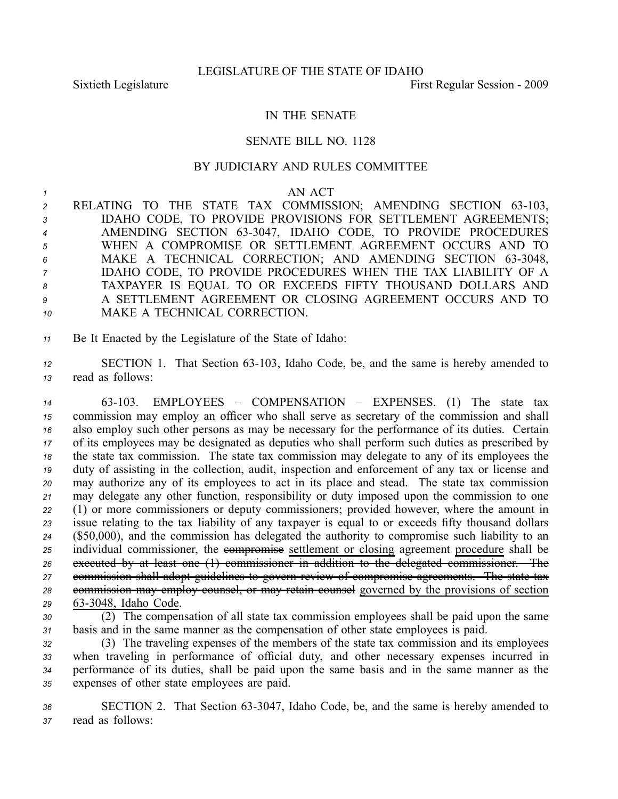## IN THE SENATE

## SENATE BILL NO. 1128

## BY JUDICIARY AND RULES COMMITTEE

## *<sup>1</sup>* AN ACT

- 2 RELATING TO THE STATE TAX COMMISSION; AMENDING SECTION 63-103, *<sup>3</sup>* IDAHO CODE, TO PROVIDE PROVISIONS FOR SETTLEMENT AGREEMENTS; 4 AMENDING SECTION 63-3047, IDAHO CODE, TO PROVIDE PROCEDURES *<sup>5</sup>* WHEN A COMPROMISE OR SETTLEMENT AGREEMENT OCCURS AND TO 6 MAKE A TECHNICAL CORRECTION; AND AMENDING SECTION 63-3048, *<sup>7</sup>* IDAHO CODE, TO PROVIDE PROCEDURES WHEN THE TAX LIABILITY OF A *<sup>8</sup>* TAXPAYER IS EQUAL TO OR EXCEEDS FIFTY THOUSAND DOLLARS AND *9* A SETTLEMENT AGREEMENT OR CLOSING AGREEMENT OCCURS AND TO *10* MAKE A TECHNICAL CORRECTION.
- *<sup>11</sup>* Be It Enacted by the Legislature of the State of Idaho:

*<sup>12</sup>* SECTION 1. That Section 63103, Idaho Code, be, and the same is hereby amended to *<sup>13</sup>* read as follows:

 63103. EMPLOYEES – COMPENSATION – EXPENSES. (1) The state tax commission may employ an officer who shall serve as secretary of the commission and shall also employ such other persons as may be necessary for the performance of its duties. Certain of its employees may be designated as deputies who shall perform such duties as prescribed by the state tax commission. The state tax commission may delegate to any of its employees the duty of assisting in the collection, audit, inspection and enforcement of any tax or license and may authorize any of its employees to act in its place and stead. The state tax commission may delegate any other function, responsibility or duty imposed upon the commission to one (1) or more commissioners or deputy commissioners; provided however, where the amount in issue relating to the tax liability of any taxpayer is equal to or exceeds fifty thousand dollars (\$50,000), and the commission has delegated the authority to compromise such liability to an 25 individual commissioner, the **exempromise** settlement or closing agreement procedure shall be executed by at least one (1) commissioner in addition to the delegated commissioner. The commission shall adopt guidelines to govern review of compromise agreements. The state tax commission may employ counsel, or may retain counsel governed by the provisions of section 633048, Idaho Code.

*<sup>30</sup>* (2) The compensation of all state tax commission employees shall be paid upon the same *<sup>31</sup>* basis and in the same manner as the compensation of other state employees is paid.

 (3) The traveling expenses of the members of the state tax commission and its employees when traveling in performance of official duty, and other necessary expenses incurred in performance of its duties, shall be paid upon the same basis and in the same manner as the expenses of other state employees are paid.

36 SECTION 2. That Section 63-3047, Idaho Code, be, and the same is hereby amended to *<sup>37</sup>* read as follows: